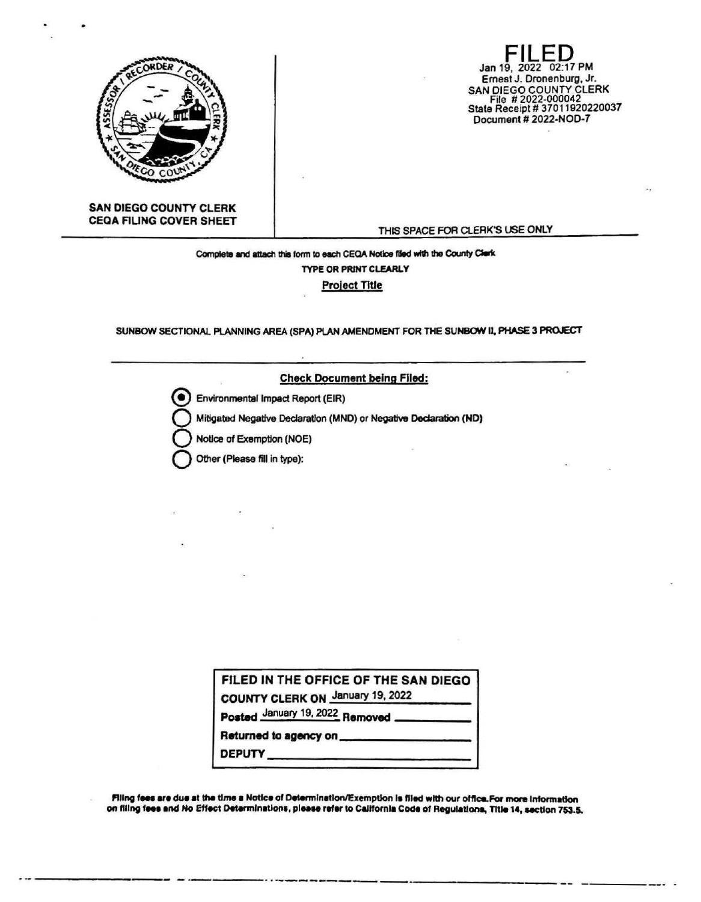

Jan 19, 2022 02:17 PM Ernest J. Dronenburg, Jr. SAN DIEGO COUNTY CLERK<br>File #2022-000042<br>State Receipt #37011920220037 Document # 2022-NOD-7

**SAN DIEGO COUNTY CLERK CEQA FILING COVER SHEET** 

THIS SPACE FOR CLERK'S USE ONLY

Complete and attach this form to each CEQA Notice filed with the County Clark **TYPE OR PRINT CLEARLY Project Title** 

SUNBOW SECTIONAL PLANNING AREA (SPA) PLAN AMENDMENT FOR THE SUNBOW II, PHASE 3 PROJECT

**Check Document being Filed:** 

Environmental Impact Report (EIR)

Mitigated Negative Declaration (MND) or Negative Declaration (ND)

Notice of Exemption (NOE)

Other (Please fill in type):

FILED IN THE OFFICE OF THE SAN DIEGO COUNTY CLERK ON January 19, 2022 Posted January 19, 2022 Removed

Returned to agency on

**DEPUTY** 

Filing fees are due at the time a Notice of Determination/Exemption is filed with our office.For more information on filing fees and No Effect Determinations, please refer to California Code of Regulations, Title 14, section 753.5.